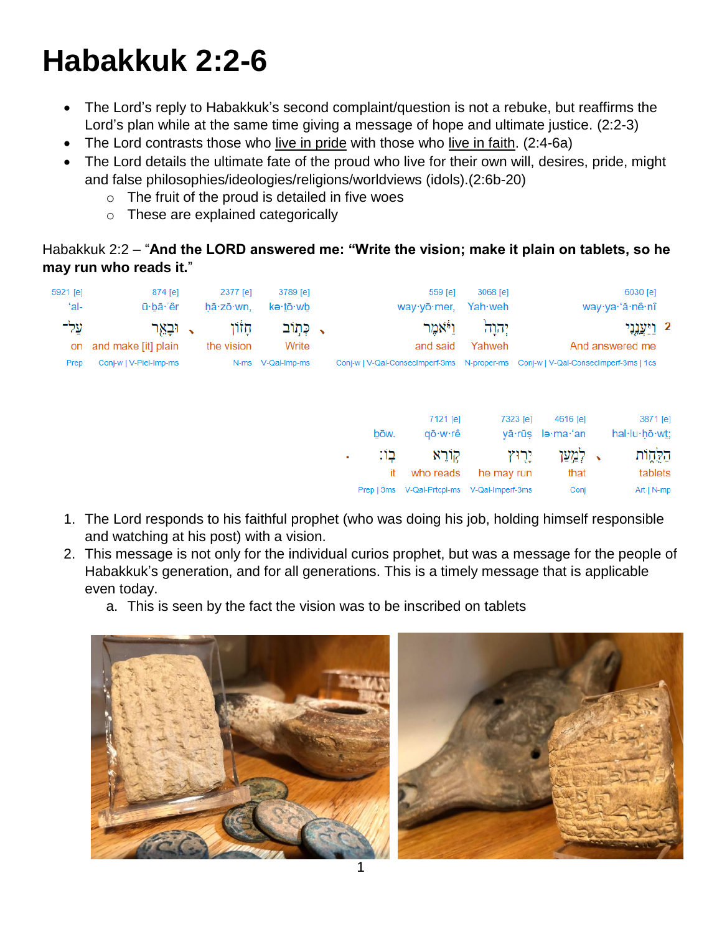# **Habakkuk 2:2-6**

- The Lord's reply to Habakkuk's second complaint/question is not a rebuke, but reaffirms the Lord's plan while at the same time giving a message of hope and ultimate justice. (2:2-3)
- The Lord contrasts those who live in pride with those who live in faith. (2:4-6a)
- The Lord details the ultimate fate of the proud who live for their own will, desires, pride, might and false philosophies/ideologies/religions/worldviews (idols).(2:6b-20)
	- $\circ$  The fruit of the proud is detailed in five woes
	- o These are explained categorically

# Habakkuk 2:2 – "**And the LORD answered me: "Write the vision; make it plain on tablets, so he may run who reads it.**"

| 5921 [e]<br>ʻal- | 874 [e]<br>ū·bā·'êr            |              | 2377 [e]<br>hā·zō·wn, | 3789 [e]<br>kə· <u>t</u> ō·wb |                                                                                   | 559 [e]<br>way yō mer, | 3068 [e]<br>Yah·weh |         |                  |                       | 6030 [e]<br>way·ya·'ă·nê·nî              |
|------------------|--------------------------------|--------------|-----------------------|-------------------------------|-----------------------------------------------------------------------------------|------------------------|---------------------|---------|------------------|-----------------------|------------------------------------------|
| עַל־<br>on       | וּבְאֵר<br>and make [it] plain | $\checkmark$ | ּחָזוֹן<br>the vision | ַ, כְּתְוֹב<br>Write          |                                                                                   | וַיֹּאמֵר<br>and said  | יהוה<br>Yahweh      |         |                  |                       | <u>ַ וַיִּעֲנֶנְי</u><br>And answered me |
| Prep             | Conj-w   V-Piel-Imp-ms         |              |                       | N-ms V-Qal-Imp-ms             | Conj-w   V-Qal-Consecimperf-3ms N-proper-ms Conj-w   V-Qal-Consecimperf-3ms   1cs |                        |                     |         |                  |                       |                                          |
|                  |                                |              |                       |                               |                                                                                   | 7121 [e]               | 7323 [e]            |         | 4616 [e]         |                       | 3871 [e]                                 |
|                  |                                |              |                       |                               | bōw.                                                                              | qō∙w∙rê                |                     |         | yā·rūs le·ma·'an |                       | hal·lu·hō·wt;                            |
|                  |                                |              |                       |                               | בו:<br>$\blacksquare$<br>it                                                       | קוֹרֵא<br>who reads    | he may run          | יֻרְוּץ | לִמְעַן<br>that  | $\tilde{\phantom{a}}$ | הַלֻחֶוֹת<br>tablets                     |
|                  |                                |              |                       |                               | Prep   3ms                                                                        | V-Qal-Prtcpl-ms        | V-Qal-Imperf-3ms    |         | Conj             |                       | $Art   N-mp$                             |

- 1. The Lord responds to his faithful prophet (who was doing his job, holding himself responsible and watching at his post) with a vision.
- 2. This message is not only for the individual curios prophet, but was a message for the people of Habakkuk's generation, and for all generations. This is a timely message that is applicable even today.
	- a. This is seen by the fact the vision was to be inscribed on tablets



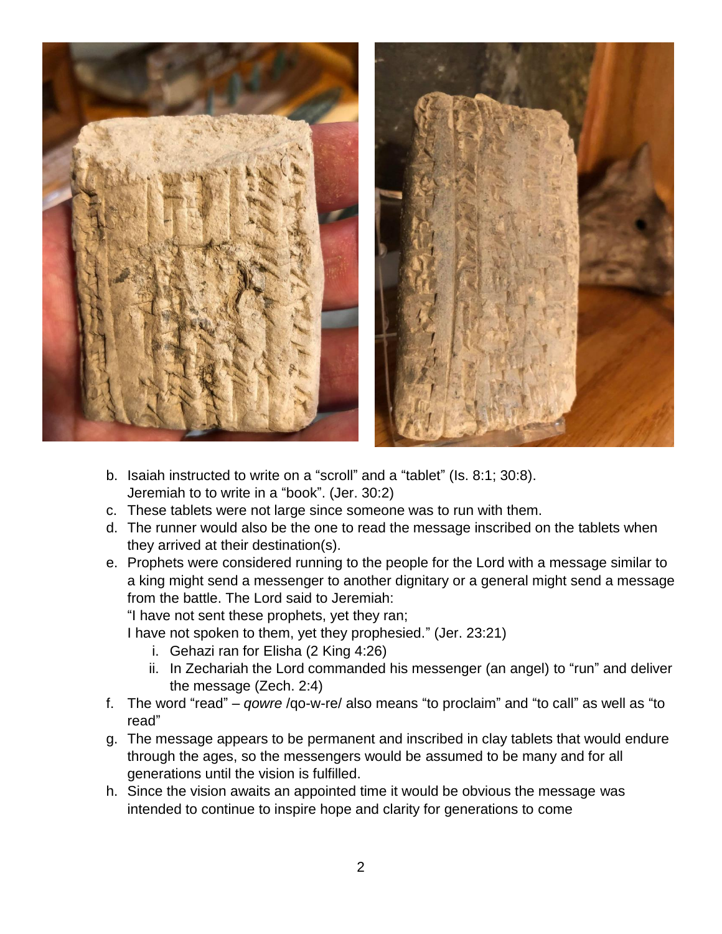



- b. Isaiah instructed to write on a "scroll" and a "tablet" (Is. 8:1; 30:8). Jeremiah to to write in a "book". (Jer. 30:2)
- c. These tablets were not large since someone was to run with them.
- d. The runner would also be the one to read the message inscribed on the tablets when they arrived at their destination(s).
- e. Prophets were considered running to the people for the Lord with a message similar to a king might send a messenger to another dignitary or a general might send a message from the battle. The Lord said to Jeremiah:

"I have not sent these prophets, yet they ran;

I have not spoken to them, yet they prophesied." (Jer. 23:21)

- i. Gehazi ran for Elisha (2 King 4:26)
- ii. In Zechariah the Lord commanded his messenger (an angel) to "run" and deliver the message (Zech. 2:4)
- f. The word "read" *qowre* /qo-w-re/ also means "to proclaim" and "to call" as well as "to read"
- g. The message appears to be permanent and inscribed in clay tablets that would endure through the ages, so the messengers would be assumed to be many and for all generations until the vision is fulfilled.
- h. Since the vision awaits an appointed time it would be obvious the message was intended to continue to inspire hope and clarity for generations to come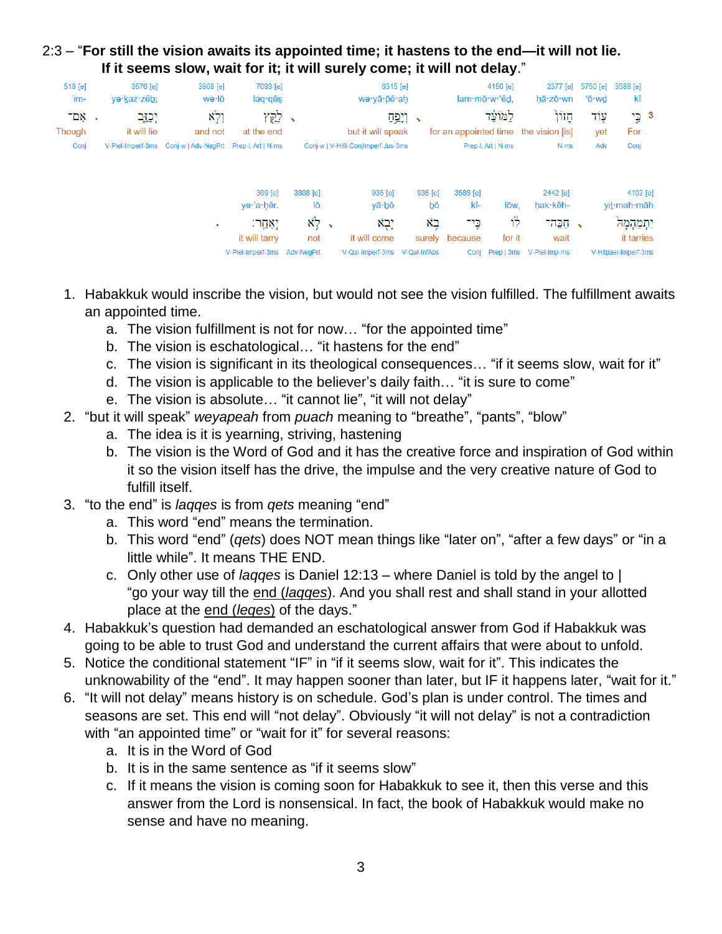# 2:3 – "**For still the vision awaits its appointed time; it hastens to the end—it will not lie. If it seems slow, wait for it; it will surely come; it will not delay**."

| 518 [e]           | 3576 [e]               | 3808 [e]                                                 | 7093 [e]                     |                          | 6315 [e]                            |               |                 | 4150 [e]           | 2377 [e]                                      | 5750 [e]                 | 3588 [e]                |
|-------------------|------------------------|----------------------------------------------------------|------------------------------|--------------------------|-------------------------------------|---------------|-----------------|--------------------|-----------------------------------------------|--------------------------|-------------------------|
| 'im-              | ye·kaz·zêb;            | wə∙lō                                                    | laq qês                      |                          | wə·yā·pê·ah                         |               |                 | lam·mō·w·'êd,      | hā·zō·wn                                      | 'ō∙wd                    | kî                      |
| - אִם -<br>Though | יִכְזֶב<br>it will lie | וְלְא<br>and not                                         | לקץ<br>at the end            | $\overline{\phantom{0}}$ | but it will speak                   | → וְיָפְחַ    |                 | למועד              | חזון<br>for an appointed time the vision [is] | עָוֹד<br>yet             | 3 כֱי<br>For            |
| Conj              |                        | V-Piel-Imperf-3ms Conj-w   Adv-NegPrt Prep-I, Art   N-ms |                              |                          | Conj-w   V-Hifil-ConjImperf.Jus-3ms |               |                 | Prep-I, Art   N-ms | N-ms                                          | Adv                      | Conj                    |
|                   |                        |                                                          | 309 [e]<br>ye·'a·hêr.        | 3808 [e]<br>lō           | 935 [e]<br>yā∙bō                    | 935 [e]<br>bō | 3588 [e]<br>kî- | lōw.               | 2442 [e]<br>hak·kêh-                          |                          | 4102 [e]<br>yit·mah·māh |
|                   |                        | $\blacksquare$                                           | יִאֲחֶר:                     | $x_7$ ,                  | יָבְא                               | בא            | כֵי־            | 节                  | תַכֵּה־                                       | $\overline{\phantom{0}}$ | יִתְמַהְמָהֹ            |
|                   |                        |                                                          | it will tarry                | not                      | it will come                        |               | surely because  | for it             | wait                                          |                          | it tarries              |
|                   |                        |                                                          | V-Piel-Imperf-3ms Adv-NegPrt |                          | V-Qal-Imperf-3ms                    | V-Qal-InfAbs  | Conj            |                    | Prep   3ms V-Piel-Imp-ms                      |                          | V-Hitpael-Imperf-3ms    |

- 1. Habakkuk would inscribe the vision, but would not see the vision fulfilled. The fulfillment awaits an appointed time.
	- a. The vision fulfillment is not for now… "for the appointed time"
	- b. The vision is eschatological… "it hastens for the end"
	- c. The vision is significant in its theological consequences… "if it seems slow, wait for it"
	- d. The vision is applicable to the believer's daily faith… "it is sure to come"
	- e. The vision is absolute… "it cannot lie", "it will not delay"
- 2. "but it will speak" *weyapeah* from *puach* meaning to "breathe", "pants", "blow"
	- a. The idea is it is yearning, striving, hastening
	- b. The vision is the Word of God and it has the creative force and inspiration of God within it so the vision itself has the drive, the impulse and the very creative nature of God to fulfill itself.
- 3. "to the end" is *laqqes* is from *qets* meaning "end"
	- a. This word "end" means the termination.
	- b. This word "end" (*qets*) does NOT mean things like "later on", "after a few days" or "in a little while". It means THE END.
	- c. Only other use of *laqqes* is Daniel 12:13 where Daniel is told by the angel to | "go your way till the end (*laqqes*). And you shall rest and shall stand in your allotted place at the end (*leqes*) of the days."
- 4. Habakkuk's question had demanded an eschatological answer from God if Habakkuk was going to be able to trust God and understand the current affairs that were about to unfold.
- 5. Notice the conditional statement "IF" in "if it seems slow, wait for it". This indicates the unknowability of the "end". It may happen sooner than later, but IF it happens later, "wait for it."
- 6. "It will not delay" means history is on schedule. God's plan is under control. The times and seasons are set. This end will "not delay". Obviously "it will not delay" is not a contradiction with "an appointed time" or "wait for it" for several reasons:
	- a. It is in the Word of God
	- b. It is in the same sentence as "if it seems slow"
	- c. If it means the vision is coming soon for Habakkuk to see it, then this verse and this answer from the Lord is nonsensical. In fact, the book of Habakkuk would make no sense and have no meaning.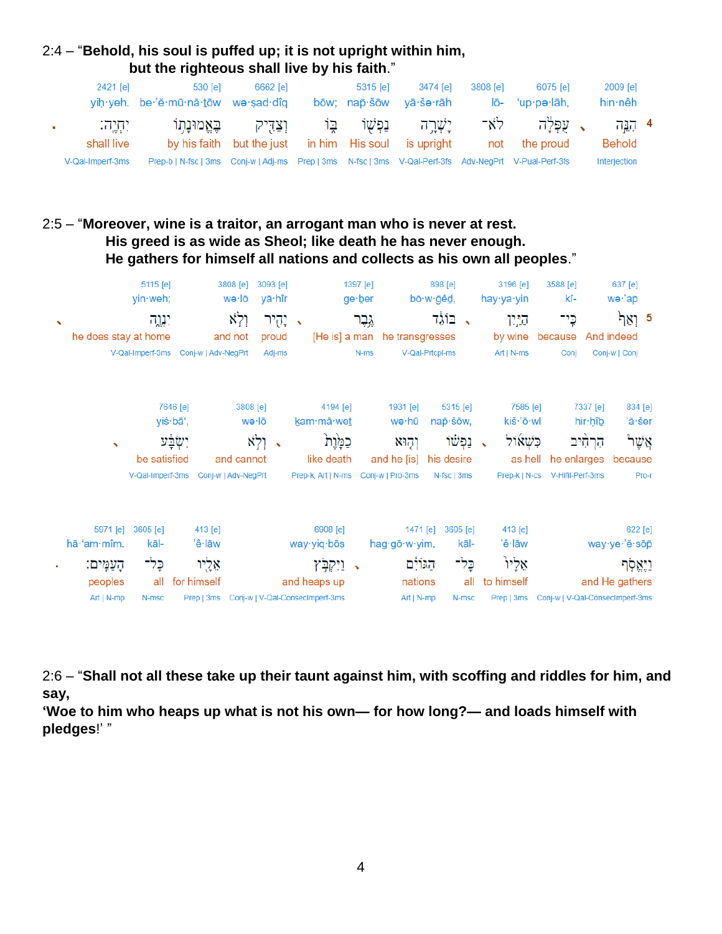## 2:4 – "**Behold, his soul is puffed up; it is not upright within him, but the righteous shall live by his faith**."

| 2421 [e]         | 530 [e]<br>yih yeh. be 'ĕ mū nā tōw we sad dîq                                                        | 6662 [e]                                             | 5315 [e] | 3474 lel<br>bōw: nap·šōw vā·še·rāh | 3808 [e] | 6075 [e]<br>lō- 'up·pə·lāh, | 2009 [e]<br>hin∙nêh |  |
|------------------|-------------------------------------------------------------------------------------------------------|------------------------------------------------------|----------|------------------------------------|----------|-----------------------------|---------------------|--|
| וּתְיָה:         |                                                                                                       | יַשָּׁרֵה נַפְשָׁוֹ בֶּוֹ וַצַּדִּיק בֵּאֱמוּנָתְוֹ  |          |                                    |          | ג עפלה לא־                  | 4 بروہ              |  |
| shall live       |                                                                                                       | by his faith but the just in him His soul is upright |          |                                    |          | not the proud               | Behold              |  |
| V-Qal-Imperf-3ms | Prep-b   N-fsc   3ms Conj-w   Adj-ms Prep   3ms N-fsc   3ms V-Qal-Perf-3fs Adv-NeqPrt V-Pual-Perf-3fs |                                                      |          |                                    |          |                             | Interjection        |  |

# 2:5 – "**Moreover, wine is a traitor, an arrogant man who is never at rest. His greed is as wide as Sheol; like death he has never enough. He gathers for himself all nations and collects as his own all peoples**."

|                          | 5115 [e]<br>yin weh;                                                                                                | 3808 [e]<br>wə·lō                                                                                   | 3093 [e]<br>yā∙hîr           |                                                                                                      | 1397 [e]<br>ge∙ber | bō·w·gêd,                                                   | 898 [e]                                                         | 3196 [e]<br>hay∙ya∙yin                                                      | 3588 [e]<br>kî-                                                                  | 637 [e]<br>wə·'ap                                         |
|--------------------------|---------------------------------------------------------------------------------------------------------------------|-----------------------------------------------------------------------------------------------------|------------------------------|------------------------------------------------------------------------------------------------------|--------------------|-------------------------------------------------------------|-----------------------------------------------------------------|-----------------------------------------------------------------------------|----------------------------------------------------------------------------------|-----------------------------------------------------------|
| $\overline{\phantom{a}}$ | ינגה<br>he does stay at home                                                                                        | ולא<br>and not<br>V-Qal-Imperf-3ms Conj-w   Adv-NeqPrt                                              | יְהֻיר<br>proud<br>Adj-ms    | $\rightarrow$                                                                                        | גֶּבֶר<br>N-ms     | [He is] a man he transgresses<br>V-Qal-Prtcpl-ms            | בוֹגֵד                                                          | היון<br>by wine<br>$Art   N-ms$                                             | כֶּי־<br>because<br>Conj                                                         | 5 וְאַך <sup>ַן</sup><br>And indeed<br>Conj-w   Conj      |
|                          | be satisfied                                                                                                        | 7646 [e]<br>3808 [e]<br>yiś·bā',<br>יִשְׂבַּע<br>and cannot<br>V-Qal-Imperf-3ms Conj-w   Adv-NegPrt | wə∙lō<br>וְלְא<br>$\sqrt{2}$ | 4194 [e]<br>kam·mā·wet<br>כֿמָּׂוָת<br>like death<br>Prep-k, Art   N-ms Conj-w   Pro-3ms             |                    | 1931 [e]<br>wə∙hū<br>וְהָוּא<br>and he [is]                 | $5315$ [e]<br>nap šōw,<br>וַפְשׁוֹ<br>his desire<br>N-fsc   3ms | 7585 [e]<br>kiš·'ō·wl<br>ּכִּשָׁאוֹל<br>$\overline{\phantom{0}}$<br>as hell | 7337 [e]<br>hir hîb<br>הַרְחִיב<br>he enlarges<br>Prep-k   N-cs V-Hifil-Perf-3ms | 834 [e]<br>'ă∙šer<br>ֿאֲשֶׁר<br>because<br>Pro-r          |
|                          | 5971 [e]<br>3605 [e]<br>$h\bar{a}$ ·'am·mîm.<br>kāl-<br>כֶּל־<br>הַעֲמֵים:<br>all<br>peoples<br>Art   N-mp<br>N-msc | 413 [e]<br>'ê∙lāw<br>אֵלֻיו<br>for himself<br>Prep   3ms                                            |                              | 6908 [e]<br>way yiq bos<br>ויקבץ<br>$\rightarrow$<br>and heaps up<br>Conj-w   V-Qal-ConsecImperf-3ms |                    | 1471 [e]<br>hag·gō·w·yim,<br>הגולם<br>nations<br>Art   N-mp | 3605 [e]<br>kāl-<br>כֶּל־<br>all<br>N-msc                       | 413 [e]<br>'ê∙lāw<br>אֵלִיוּ<br>to himself<br>Prep   3ms                    | Conj-w   V-Qal-ConsecImperf-3ms                                                  | 622 [e]<br>way ye 'ĕ sōp<br>וַיָּאֱסָׂף<br>and He gathers |

2:6 – "**Shall not all these take up their taunt against him, with scoffing and riddles for him, and say,** 

**'Woe to him who heaps up what is not his own— for how long?— and loads himself with pledges**!' "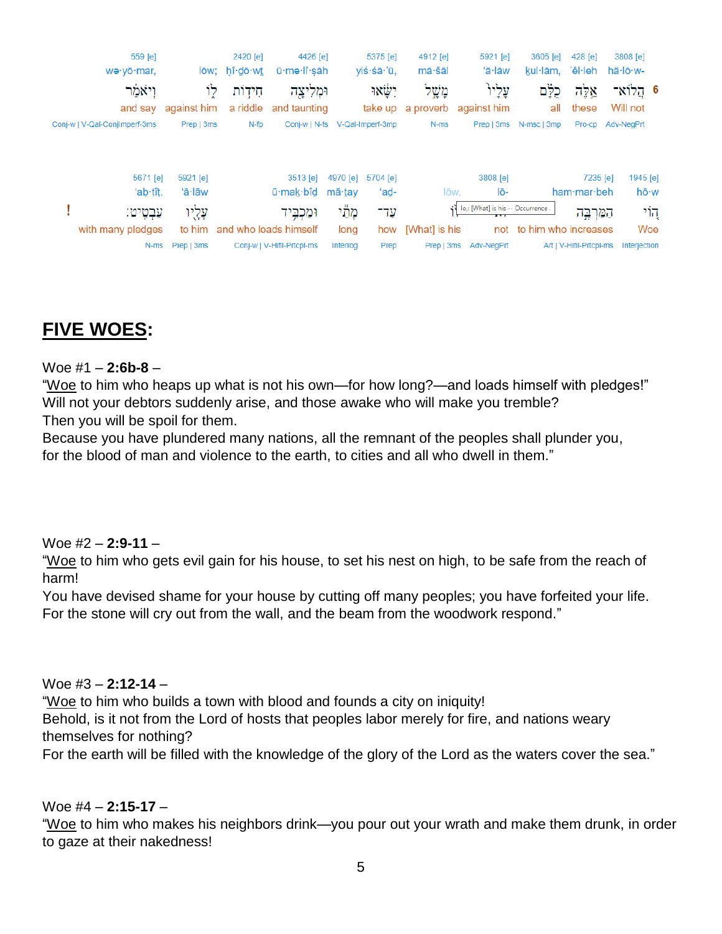

# **FIVE WOES:**

#### Woe #1 – **2:6b-8** –

"Woe to him who heaps up what is not his own—for how long?—and loads himself with pledges!" Will not your debtors suddenly arise, and those awake who will make you tremble? Then you will be spoil for them.

Because you have plundered many nations, all the remnant of the peoples shall plunder you, for the blood of man and violence to the earth, to cities and all who dwell in them."

## Woe #2 – **2:9-11** –

"Woe to him who gets evil gain for his house, to set his nest on high, to be safe from the reach of harm!

You have devised shame for your house by cutting off many peoples; you have forfeited your life. For the stone will cry out from the wall, and the beam from the woodwork respond."

#### Woe #3 – **2:12-14** –

"Woe to him who builds a town with blood and founds a city on iniquity!

Behold, is it not from the Lord of hosts that peoples labor merely for fire, and nations weary themselves for nothing?

For the earth will be filled with the knowledge of the glory of the Lord as the waters cover the sea."

## Woe #4 – **2:15-17** –

"Woe to him who makes his neighbors drink—you pour out your wrath and make them drunk, in order to gaze at their nakedness!